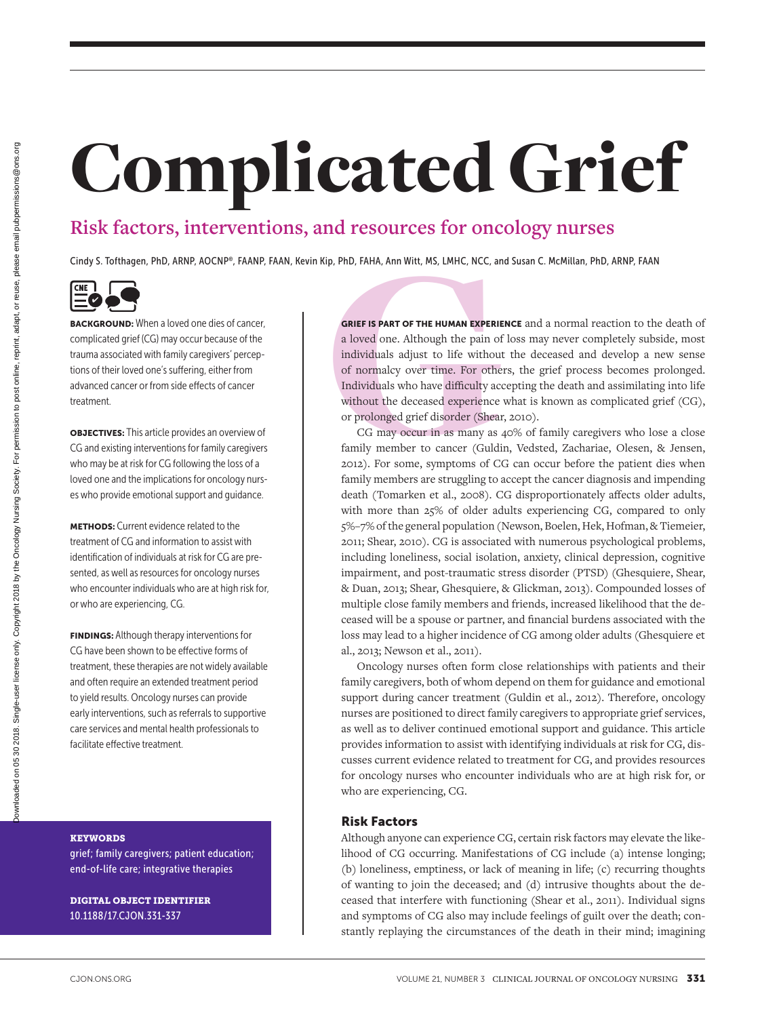# Complicated Grief

### **Risk factors, interventions, and resources for oncology nurses**

Cindy S. Tofthagen, PhD, ARNP, AOCNP®, FAANP, FAAN, Kevin Kip, PhD, FAHA, Ann Witt, MS, LMHC, NCC, and Susan C. McMillan, PhD, ARNP, FAAN

|--|--|--|

**BACKGROUND:** When a loved one dies of cancer. complicated grief (CG) may occur because of the trauma associated with family caregivers' perceptions of their loved one's suffering, either from advanced cancer or from side effects of cancer treatment.

OBJECTIVES: This article provides an overview of CG and existing interventions for family caregivers who may be at risk for CG following the loss of a loved one and the implications for oncology nurses who provide emotional support and guidance.

METHODS: Current evidence related to the treatment of CG and information to assist with identification of individuals at risk for CG are presented, as well as resources for oncology nurses who encounter individuals who are at high risk for, or who are experiencing, CG.

FINDINGS: Although therapy interventions for CG have been shown to be effective forms of treatment, these therapies are not widely available and often require an extended treatment period to yield results. Oncology nurses can provide early interventions, such as referrals to supportive care services and mental health professionals to facilitate effective treatment.

#### **KEYWORDS**

grief; family caregivers; patient education; end-of-life care; integrative therapies

DIGITAL OBJECT IDENTIFIER 10.1188/17.CJON.331-337

ip, PhD, FAHA, Ann Witt, MS, LMHC, NCC, and<br> **GRIEF IS PART OF THE HUMAN EXPERIE**<br>
a loved one. Although the pain of<br>
individuals adjust to life without<br>
of normalcy over time. For other<br>
Individuals who have difficulty ac GRIEF IS PART OF THE HUMAN EXPERIENCE and a normal reaction to the death of a loved one. Although the pain of loss may never completely subside, most individuals adjust to life without the deceased and develop a new sense of normalcy over time. For others, the grief process becomes prolonged. Individuals who have difficulty accepting the death and assimilating into life without the deceased experience what is known as complicated grief (CG), or prolonged grief disorder (Shear, 2010).

CG may occur in as many as 40% of family caregivers who lose a close family member to cancer (Guldin, Vedsted, Zachariae, Olesen, & Jensen, 2012). For some, symptoms of CG can occur before the patient dies when family members are struggling to accept the cancer diagnosis and impending death (Tomarken et al., 2008). CG disproportionately affects older adults, with more than 25% of older adults experiencing CG, compared to only 5%–7% of the general population (Newson, Boelen, Hek, Hofman, & Tiemeier, 2011; Shear, 2010). CG is associated with numerous psychological problems, including loneliness, social isolation, anxiety, clinical depression, cognitive impairment, and post-traumatic stress disorder (PTSD) (Ghesquiere, Shear, & Duan, 2013; Shear, Ghesquiere, & Glickman, 2013). Compounded losses of multiple close family members and friends, increased likelihood that the deceased will be a spouse or partner, and financial burdens associated with the loss may lead to a higher incidence of CG among older adults (Ghesquiere et al., 2013; Newson et al., 2011).

Oncology nurses often form close relationships with patients and their family caregivers, both of whom depend on them for guidance and emotional support during cancer treatment (Guldin et al., 2012). Therefore, oncology nurses are positioned to direct family caregivers to appropriate grief services, as well as to deliver continued emotional support and guidance. This article provides information to assist with identifying individuals at risk for CG, discusses current evidence related to treatment for CG, and provides resources for oncology nurses who encounter individuals who are at high risk for, or who are experiencing, CG.

#### Risk Factors

Although anyone can experience CG, certain risk factors may elevate the likelihood of CG occurring. Manifestations of CG include (a) intense longing; (b) loneliness, emptiness, or lack of meaning in life; (c) recurring thoughts of wanting to join the deceased; and (d) intrusive thoughts about the deceased that interfere with functioning (Shear et al., 2011). Individual signs and symptoms of CG also may include feelings of guilt over the death; constantly replaying the circumstances of the death in their mind; imagining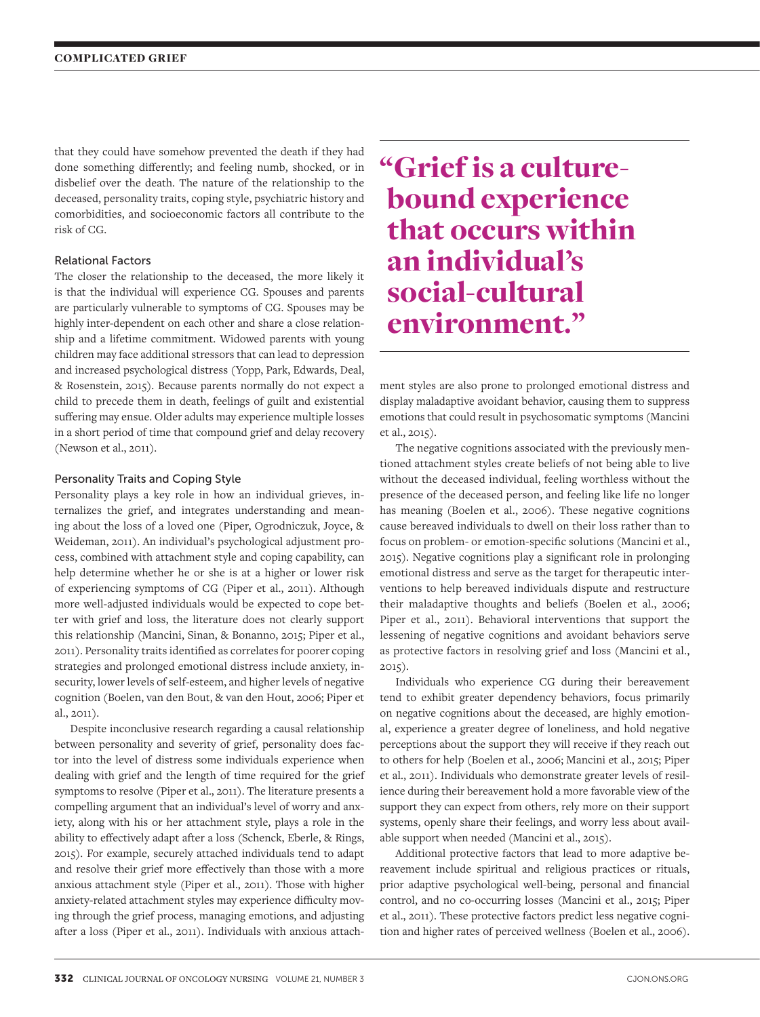that they could have somehow prevented the death if they had done something differently; and feeling numb, shocked, or in disbelief over the death. The nature of the relationship to the deceased, personality traits, coping style, psychiatric history and comorbidities, and socioeconomic factors all contribute to the risk of CG.

#### Relational Factors

The closer the relationship to the deceased, the more likely it is that the individual will experience CG. Spouses and parents are particularly vulnerable to symptoms of CG. Spouses may be highly inter-dependent on each other and share a close relationship and a lifetime commitment. Widowed parents with young children may face additional stressors that can lead to depression and increased psychological distress (Yopp, Park, Edwards, Deal, & Rosenstein, 2015). Because parents normally do not expect a child to precede them in death, feelings of guilt and existential suffering may ensue. Older adults may experience multiple losses in a short period of time that compound grief and delay recovery (Newson et al., 2011).

#### Personality Traits and Coping Style

Personality plays a key role in how an individual grieves, internalizes the grief, and integrates understanding and meaning about the loss of a loved one (Piper, Ogrodniczuk, Joyce, & Weideman, 2011). An individual's psychological adjustment process, combined with attachment style and coping capability, can help determine whether he or she is at a higher or lower risk of experiencing symptoms of CG (Piper et al., 2011). Although more well-adjusted individuals would be expected to cope better with grief and loss, the literature does not clearly support this relationship (Mancini, Sinan, & Bonanno, 2015; Piper et al., 2011). Personality traits identified as correlates for poorer coping strategies and prolonged emotional distress include anxiety, insecurity, lower levels of self-esteem, and higher levels of negative cognition (Boelen, van den Bout, & van den Hout, 2006; Piper et al., 2011).

Despite inconclusive research regarding a causal relationship between personality and severity of grief, personality does factor into the level of distress some individuals experience when dealing with grief and the length of time required for the grief symptoms to resolve (Piper et al., 2011). The literature presents a compelling argument that an individual's level of worry and anxiety, along with his or her attachment style, plays a role in the ability to effectively adapt after a loss (Schenck, Eberle, & Rings, 2015). For example, securely attached individuals tend to adapt and resolve their grief more effectively than those with a more anxious attachment style (Piper et al., 2011). Those with higher anxiety-related attachment styles may experience difficulty moving through the grief process, managing emotions, and adjusting after a loss (Piper et al., 2011). Individuals with anxious attach-

## "Grief is a culturebound experience that occurs within an individual's social-cultural environment."

ment styles are also prone to prolonged emotional distress and display maladaptive avoidant behavior, causing them to suppress emotions that could result in psychosomatic symptoms (Mancini et al., 2015).

The negative cognitions associated with the previously mentioned attachment styles create beliefs of not being able to live without the deceased individual, feeling worthless without the presence of the deceased person, and feeling like life no longer has meaning (Boelen et al., 2006). These negative cognitions cause bereaved individuals to dwell on their loss rather than to focus on problem- or emotion-specific solutions (Mancini et al., 2015). Negative cognitions play a significant role in prolonging emotional distress and serve as the target for therapeutic interventions to help bereaved individuals dispute and restructure their maladaptive thoughts and beliefs (Boelen et al., 2006; Piper et al., 2011). Behavioral interventions that support the lessening of negative cognitions and avoidant behaviors serve as protective factors in resolving grief and loss (Mancini et al., 2015).

Individuals who experience CG during their bereavement tend to exhibit greater dependency behaviors, focus primarily on negative cognitions about the deceased, are highly emotional, experience a greater degree of loneliness, and hold negative perceptions about the support they will receive if they reach out to others for help (Boelen et al., 2006; Mancini et al., 2015; Piper et al., 2011). Individuals who demonstrate greater levels of resilience during their bereavement hold a more favorable view of the support they can expect from others, rely more on their support systems, openly share their feelings, and worry less about available support when needed (Mancini et al., 2015).

Additional protective factors that lead to more adaptive bereavement include spiritual and religious practices or rituals, prior adaptive psychological well-being, personal and financial control, and no co-occurring losses (Mancini et al., 2015; Piper et al., 2011). These protective factors predict less negative cognition and higher rates of perceived wellness (Boelen et al., 2006).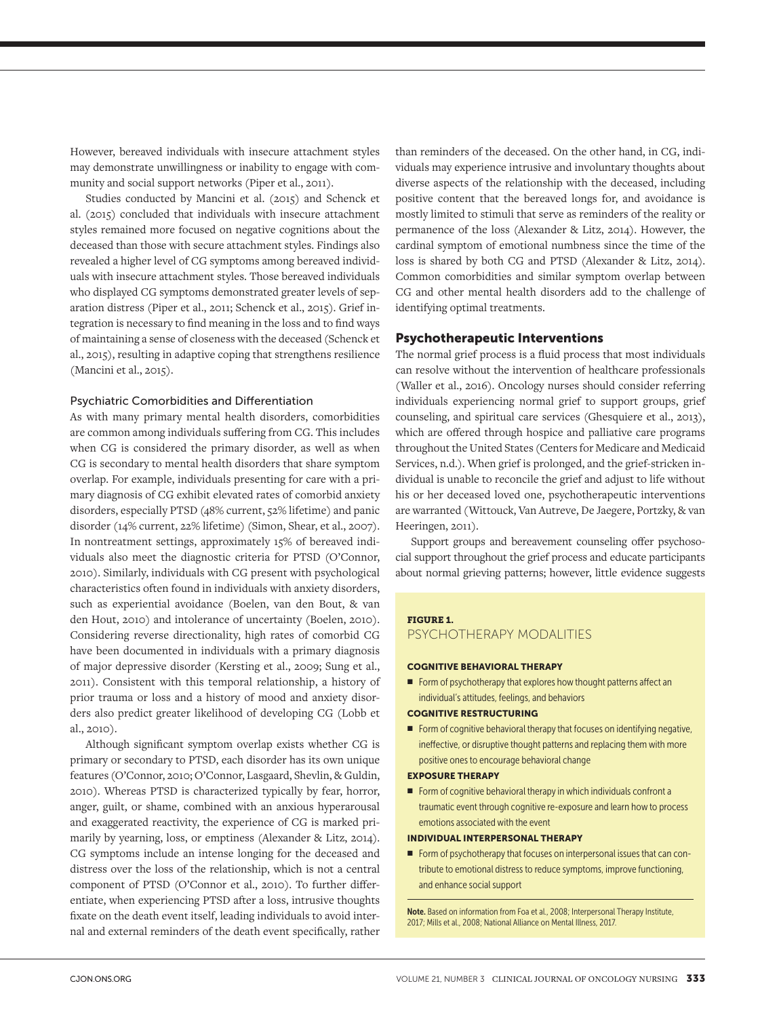However, bereaved individuals with insecure attachment styles may demonstrate unwillingness or inability to engage with community and social support networks (Piper et al., 2011).

Studies conducted by Mancini et al. (2015) and Schenck et al. (2015) concluded that individuals with insecure attachment styles remained more focused on negative cognitions about the deceased than those with secure attachment styles. Findings also revealed a higher level of CG symptoms among bereaved individuals with insecure attachment styles. Those bereaved individuals who displayed CG symptoms demonstrated greater levels of separation distress (Piper et al., 2011; Schenck et al., 2015). Grief integration is necessary to find meaning in the loss and to find ways of maintaining a sense of closeness with the deceased (Schenck et al., 2015), resulting in adaptive coping that strengthens resilience (Mancini et al., 2015).

#### Psychiatric Comorbidities and Differentiation

As with many primary mental health disorders, comorbidities are common among individuals suffering from CG. This includes when CG is considered the primary disorder, as well as when CG is secondary to mental health disorders that share symptom overlap. For example, individuals presenting for care with a primary diagnosis of CG exhibit elevated rates of comorbid anxiety disorders, especially PTSD (48% current, 52% lifetime) and panic disorder (14% current, 22% lifetime) (Simon, Shear, et al., 2007). In nontreatment settings, approximately 15% of bereaved individuals also meet the diagnostic criteria for PTSD (O'Connor, 2010). Similarly, individuals with CG present with psychological characteristics often found in individuals with anxiety disorders, such as experiential avoidance (Boelen, van den Bout, & van den Hout, 2010) and intolerance of uncertainty (Boelen, 2010). Considering reverse directionality, high rates of comorbid CG have been documented in individuals with a primary diagnosis of major depressive disorder (Kersting et al., 2009; Sung et al., 2011). Consistent with this temporal relationship, a history of prior trauma or loss and a history of mood and anxiety disorders also predict greater likelihood of developing CG (Lobb et al., 2010).

Although significant symptom overlap exists whether CG is primary or secondary to PTSD, each disorder has its own unique features (O'Connor, 2010; O'Connor, Lasgaard, Shevlin, & Guldin, 2010). Whereas PTSD is characterized typically by fear, horror, anger, guilt, or shame, combined with an anxious hyperarousal and exaggerated reactivity, the experience of CG is marked primarily by yearning, loss, or emptiness (Alexander & Litz, 2014). CG symptoms include an intense longing for the deceased and distress over the loss of the relationship, which is not a central component of PTSD (O'Connor et al., 2010). To further differentiate, when experiencing PTSD after a loss, intrusive thoughts fixate on the death event itself, leading individuals to avoid internal and external reminders of the death event specifically, rather than reminders of the deceased. On the other hand, in CG, individuals may experience intrusive and involuntary thoughts about diverse aspects of the relationship with the deceased, including positive content that the bereaved longs for, and avoidance is mostly limited to stimuli that serve as reminders of the reality or permanence of the loss (Alexander & Litz, 2014). However, the cardinal symptom of emotional numbness since the time of the loss is shared by both CG and PTSD (Alexander & Litz, 2014). Common comorbidities and similar symptom overlap between CG and other mental health disorders add to the challenge of identifying optimal treatments.

#### Psychotherapeutic Interventions

The normal grief process is a fluid process that most individuals can resolve without the intervention of healthcare professionals (Waller et al., 2016). Oncology nurses should consider referring individuals experiencing normal grief to support groups, grief counseling, and spiritual care services (Ghesquiere et al., 2013), which are offered through hospice and palliative care programs throughout the United States (Centers for Medicare and Medicaid Services, n.d.). When grief is prolonged, and the grief-stricken individual is unable to reconcile the grief and adjust to life without his or her deceased loved one, psychotherapeutic interventions are warranted (Wittouck, Van Autreve, De Jaegere, Portzky, & van Heeringen, 2011).

Support groups and bereavement counseling offer psychosocial support throughout the grief process and educate participants about normal grieving patterns; however, little evidence suggests

#### FIGURE 1.

#### PSYCHOTHERAPY MODALITIES

#### COGNITIVE BEHAVIORAL THERAPY

■ Form of psychotherapy that explores how thought patterns affect an individual's attitudes, feelings, and behaviors

#### COGNITIVE RESTRUCTURING

 $\blacksquare$  Form of cognitive behavioral therapy that focuses on identifying negative, ineffective, or disruptive thought patterns and replacing them with more positive ones to encourage behavioral change

#### EXPOSURE THERAPY

 $\blacksquare$  Form of cognitive behavioral therapy in which individuals confront a traumatic event through cognitive re-exposure and learn how to process emotions associated with the event

#### INDIVIDUAL INTERPERSONAL THERAPY

■ Form of psychotherapy that focuses on interpersonal issues that can contribute to emotional distress to reduce symptoms, improve functioning, and enhance social support

Note. Based on information from Foa et al., 2008; Interpersonal Therapy Institute, 2017; Mills et al., 2008; National Alliance on Mental Illness, 2017.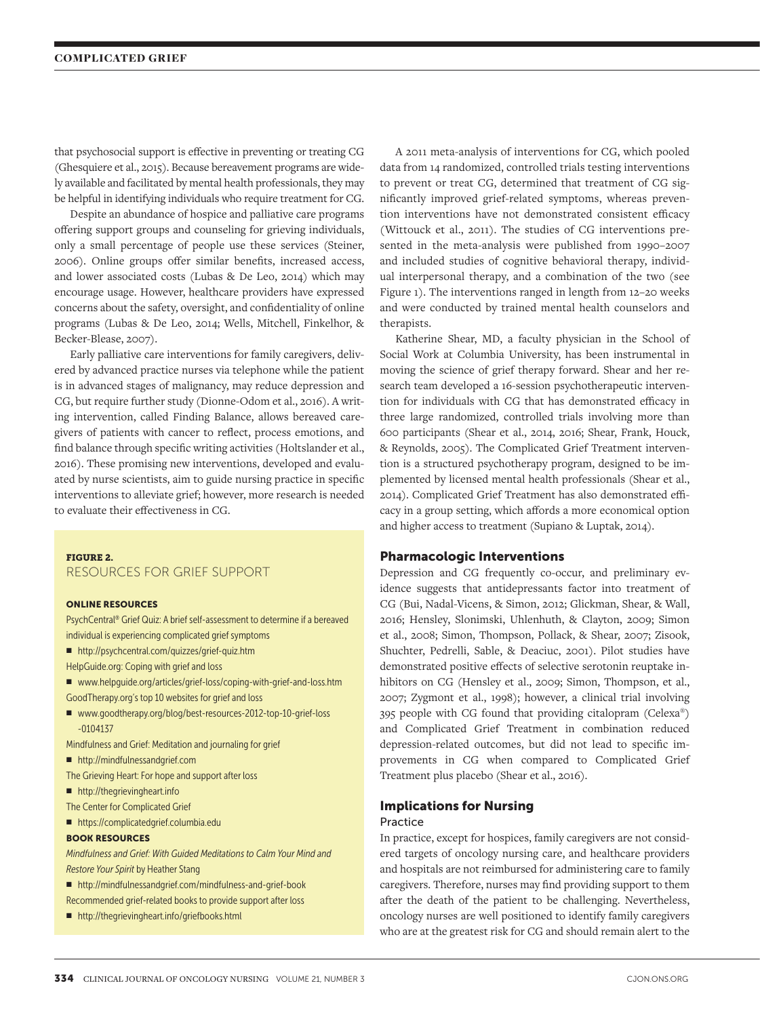that psychosocial support is effective in preventing or treating CG (Ghesquiere et al., 2015). Because bereavement programs are widely available and facilitated by mental health professionals, they may be helpful in identifying individuals who require treatment for CG.

Despite an abundance of hospice and palliative care programs offering support groups and counseling for grieving individuals, only a small percentage of people use these services (Steiner, 2006). Online groups offer similar benefits, increased access, and lower associated costs (Lubas & De Leo, 2014) which may encourage usage. However, healthcare providers have expressed concerns about the safety, oversight, and confidentiality of online programs (Lubas & De Leo, 2014; Wells, Mitchell, Finkelhor, & Becker-Blease, 2007).

Early palliative care interventions for family caregivers, delivered by advanced practice nurses via telephone while the patient is in advanced stages of malignancy, may reduce depression and CG, but require further study (Dionne-Odom et al., 2016). A writing intervention, called Finding Balance, allows bereaved caregivers of patients with cancer to reflect, process emotions, and find balance through specific writing activities (Holtslander et al., 2016). These promising new interventions, developed and evaluated by nurse scientists, aim to guide nursing practice in specific interventions to alleviate grief; however, more research is needed to evaluate their effectiveness in CG.

#### FIGURE 2. RESOURCES FOR GRIEF SUPPORT

#### ONLINE RESOURCES

PsychCentral® Grief Quiz: A brief self-assessment to determine if a bereaved individual is experiencing complicated grief symptoms

- $\blacksquare$  http://psychcentral.com/quizzes/grief-quiz.htm
- HelpGuide.org: Coping with grief and loss
- www.helpguide.org/articles/grief-loss/coping-with-grief-and-loss.htm GoodTherapy.org's top 10 websites for grief and loss
- www.goodtherapy.org/blog/best-resources-2012-top-10-grief-loss -0104137
- Mindfulness and Grief: Meditation and journaling for grief
- $\blacksquare$  http://mindfulnessandgrief.com
- The Grieving Heart: For hope and support after loss
- $\blacksquare$  http://thegrievingheart.info
- The Center for Complicated Grief
- $\blacksquare$  https://complicatedgrief.columbia.edu

#### BOOK RESOURCES

*Mindfulness and Grief: With Guided Meditations to Calm Your Mind and Restore Your Spirit* by Heather Stang

- $\blacksquare$  http://mindfulnessandgrief.com/mindfulness-and-grief-book Recommended grief-related books to provide support after loss
- $\blacksquare$  http://thegrievingheart.info/griefbooks.html

A 2011 meta-analysis of interventions for CG, which pooled data from 14 randomized, controlled trials testing interventions to prevent or treat CG, determined that treatment of CG significantly improved grief-related symptoms, whereas prevention interventions have not demonstrated consistent efficacy (Wittouck et al., 2011). The studies of CG interventions presented in the meta-analysis were published from 1990–2007 and included studies of cognitive behavioral therapy, individual interpersonal therapy, and a combination of the two (see Figure 1). The interventions ranged in length from 12–20 weeks and were conducted by trained mental health counselors and therapists.

Katherine Shear, MD, a faculty physician in the School of Social Work at Columbia University, has been instrumental in moving the science of grief therapy forward. Shear and her research team developed a 16-session psychotherapeutic intervention for individuals with CG that has demonstrated efficacy in three large randomized, controlled trials involving more than 600 participants (Shear et al., 2014, 2016; Shear, Frank, Houck, & Reynolds, 2005). The Complicated Grief Treatment intervention is a structured psychotherapy program, designed to be implemented by licensed mental health professionals (Shear et al., 2014). Complicated Grief Treatment has also demonstrated efficacy in a group setting, which affords a more economical option and higher access to treatment (Supiano & Luptak, 2014).

#### Pharmacologic Interventions

Depression and CG frequently co-occur, and preliminary evidence suggests that antidepressants factor into treatment of CG (Bui, Nadal-Vicens, & Simon, 2012; Glickman, Shear, & Wall, 2016; Hensley, Slonimski, Uhlenhuth, & Clayton, 2009; Simon et al., 2008; Simon, Thompson, Pollack, & Shear, 2007; Zisook, Shuchter, Pedrelli, Sable, & Deaciuc, 2001). Pilot studies have demonstrated positive effects of selective serotonin reuptake inhibitors on CG (Hensley et al., 2009; Simon, Thompson, et al., 2007; Zygmont et al., 1998); however, a clinical trial involving 395 people with CG found that providing citalopram (Celexa®) and Complicated Grief Treatment in combination reduced depression-related outcomes, but did not lead to specific improvements in CG when compared to Complicated Grief Treatment plus placebo (Shear et al., 2016).

#### Implications for Nursing

#### Practice

In practice, except for hospices, family caregivers are not considered targets of oncology nursing care, and healthcare providers and hospitals are not reimbursed for administering care to family caregivers. Therefore, nurses may find providing support to them after the death of the patient to be challenging. Nevertheless, oncology nurses are well positioned to identify family caregivers who are at the greatest risk for CG and should remain alert to the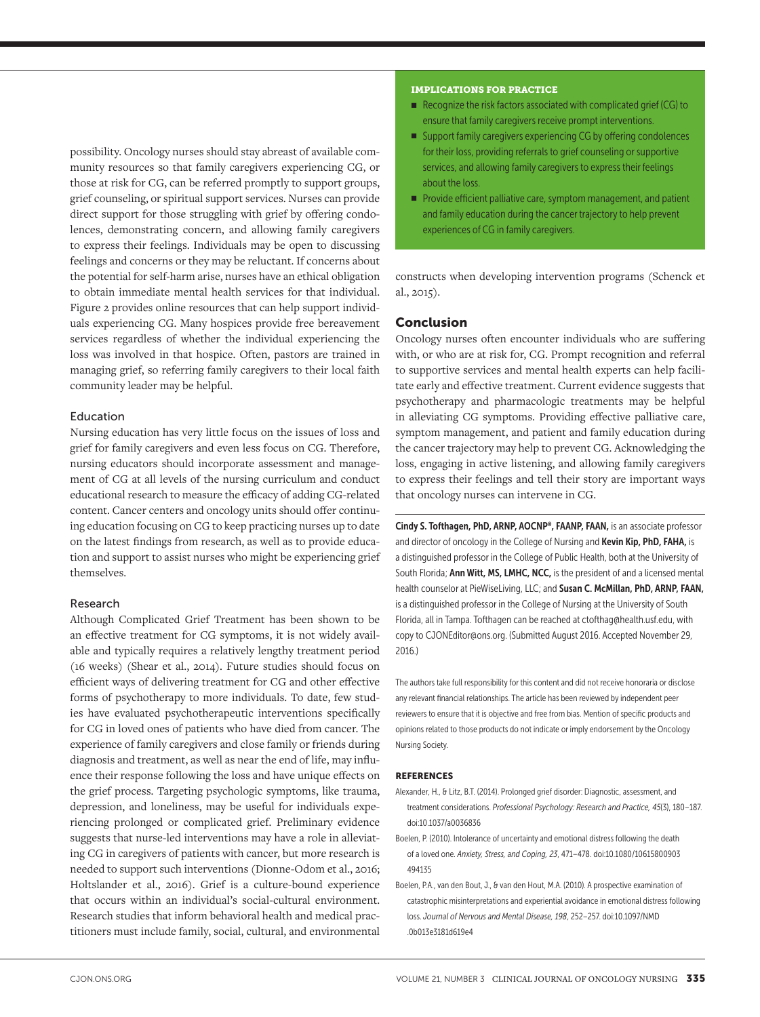possibility. Oncology nurses should stay abreast of available community resources so that family caregivers experiencing CG, or those at risk for CG, can be referred promptly to support groups, grief counseling, or spiritual support services. Nurses can provide direct support for those struggling with grief by offering condolences, demonstrating concern, and allowing family caregivers to express their feelings. Individuals may be open to discussing feelings and concerns or they may be reluctant. If concerns about the potential for self-harm arise, nurses have an ethical obligation to obtain immediate mental health services for that individual. Figure 2 provides online resources that can help support individuals experiencing CG. Many hospices provide free bereavement services regardless of whether the individual experiencing the loss was involved in that hospice. Often, pastors are trained in managing grief, so referring family caregivers to their local faith community leader may be helpful.

#### Education

Nursing education has very little focus on the issues of loss and grief for family caregivers and even less focus on CG. Therefore, nursing educators should incorporate assessment and management of CG at all levels of the nursing curriculum and conduct educational research to measure the efficacy of adding CG-related content. Cancer centers and oncology units should offer continuing education focusing on CG to keep practicing nurses up to date on the latest findings from research, as well as to provide education and support to assist nurses who might be experiencing grief themselves.

#### Research

Although Complicated Grief Treatment has been shown to be an effective treatment for CG symptoms, it is not widely available and typically requires a relatively lengthy treatment period (16 weeks) (Shear et al., 2014). Future studies should focus on efficient ways of delivering treatment for CG and other effective forms of psychotherapy to more individuals. To date, few studies have evaluated psychotherapeutic interventions specifically for CG in loved ones of patients who have died from cancer. The experience of family caregivers and close family or friends during diagnosis and treatment, as well as near the end of life, may influence their response following the loss and have unique effects on the grief process. Targeting psychologic symptoms, like trauma, depression, and loneliness, may be useful for individuals experiencing prolonged or complicated grief. Preliminary evidence suggests that nurse-led interventions may have a role in alleviating CG in caregivers of patients with cancer, but more research is needed to support such interventions (Dionne-Odom et al., 2016; Holtslander et al., 2016). Grief is a culture-bound experience that occurs within an individual's social-cultural environment. Research studies that inform behavioral health and medical practitioners must include family, social, cultural, and environmental

#### IMPLICATIONS FOR PRACTICE

- Recognize the risk factors associated with complicated grief (CG) to ensure that family caregivers receive prompt interventions.
- $\blacksquare$  Support family caregivers experiencing CG by offering condolences for their loss, providing referrals to grief counseling or supportive services, and allowing family caregivers to express their feelings about the loss.
- $\blacksquare$  Provide efficient palliative care, symptom management, and patient and family education during the cancer trajectory to help prevent experiences of CG in family caregivers.

constructs when developing intervention programs (Schenck et al., 2015).

#### Conclusion

Oncology nurses often encounter individuals who are suffering with, or who are at risk for, CG. Prompt recognition and referral to supportive services and mental health experts can help facilitate early and effective treatment. Current evidence suggests that psychotherapy and pharmacologic treatments may be helpful in alleviating CG symptoms. Providing effective palliative care, symptom management, and patient and family education during the cancer trajectory may help to prevent CG. Acknowledging the loss, engaging in active listening, and allowing family caregivers to express their feelings and tell their story are important ways that oncology nurses can intervene in CG.

Cindy S. Tofthagen, PhD, ARNP, AOCNP®, FAANP, FAAN, is an associate professor and director of oncology in the College of Nursing and Kevin Kip, PhD, FAHA, is a distinguished professor in the College of Public Health, both at the University of South Florida; Ann Witt, MS, LMHC, NCC, is the president of and a licensed mental health counselor at PieWiseLiving, LLC; and Susan C. McMillan, PhD, ARNP, FAAN, is a distinguished professor in the College of Nursing at the University of South Florida, all in Tampa. Tofthagen can be reached at ctofthag@health.usf.edu, with copy to CJONEditor@ons.org. (Submitted August 2016. Accepted November 29, 2016.)

The authors take full responsibility for this content and did not receive honoraria or disclose any relevant financial relationships. The article has been reviewed by independent peer reviewers to ensure that it is objective and free from bias. Mention of specific products and opinions related to those products do not indicate or imply endorsement by the Oncology Nursing Society.

#### REFERENCES

- Alexander, H., & Litz, B.T. (2014). Prolonged grief disorder: Diagnostic, assessment, and treatment considerations. *Professional Psychology: Research and Practice, 45*(3), 180–187. doi:10.1037/a0036836
- Boelen, P. (2010). Intolerance of uncertainty and emotional distress following the death of a loved one. *Anxiety, Stress, and Coping, 23*, 471–478. doi:10.1080/10615800903 494135
- Boelen, P.A., van den Bout, J., & van den Hout, M.A. (2010). A prospective examination of catastrophic misinterpretations and experiential avoidance in emotional distress following loss. *Journal of Nervous and Mental Disease, 198*, 252–257. doi:10.1097/NMD .0b013e3181d619e4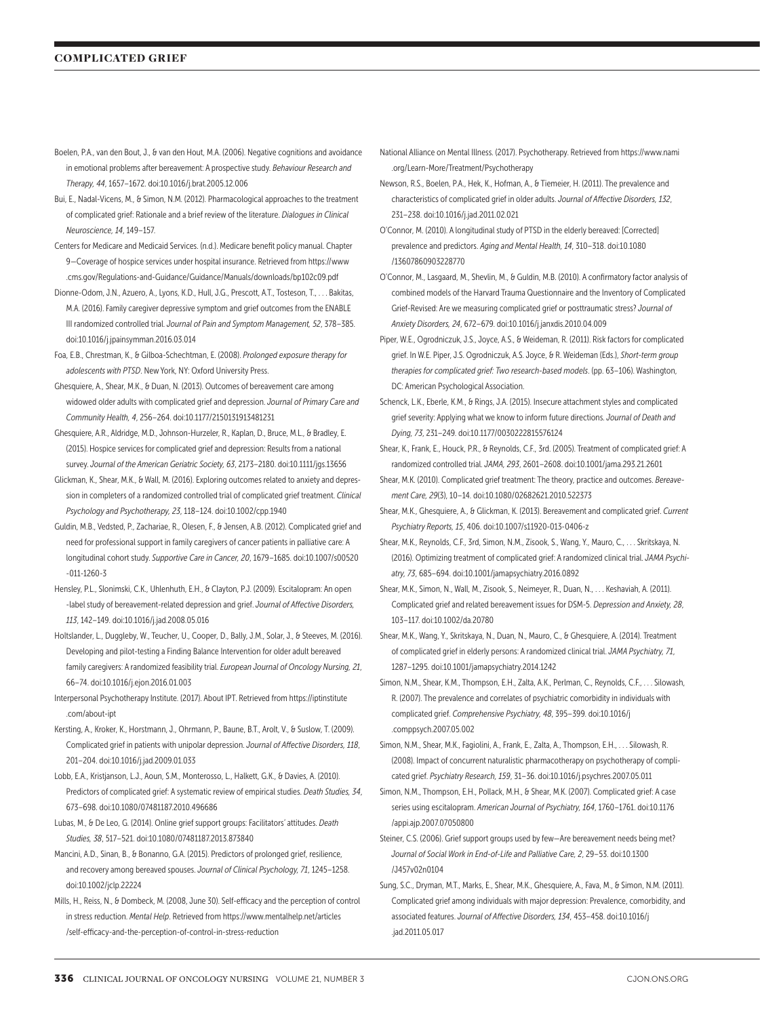- Boelen, P.A., van den Bout, J., & van den Hout, M.A. (2006). Negative cognitions and avoidance in emotional problems after bereavement: A prospective study. *Behaviour Research and Therapy, 44*, 1657–1672. doi:10.1016/j.brat.2005.12.006
- Bui, E., Nadal-Vicens, M., & Simon, N.M. (2012). Pharmacological approaches to the treatment of complicated grief: Rationale and a brief review of the literature. *Dialogues in Clinical Neuroscience, 14*, 149–157.
- Centers for Medicare and Medicaid Services. (n.d.). Medicare benefit policy manual. Chapter 9—Coverage of hospice services under hospital insurance. Retrieved from https://www .cms.gov/Regulations-and-Guidance/Guidance/Manuals/downloads/bp102c09.pdf
- Dionne-Odom, J.N., Azuero, A., Lyons, K.D., Hull, J.G., Prescott, A.T., Tosteson, T., . . . Bakitas, M.A. (2016). Family caregiver depressive symptom and grief outcomes from the ENABLE III randomized controlled trial. *Journal of Pain and Symptom Management, 52*, 378–385. doi:10.1016/j.jpainsymman.2016.03.014
- Foa, E.B., Chrestman, K., & Gilboa-Schechtman, E. (2008). *Prolonged exposure therapy for adolescents with PTSD*. New York, NY: Oxford University Press.
- Ghesquiere, A., Shear, M.K., & Duan, N. (2013). Outcomes of bereavement care among widowed older adults with complicated grief and depression. *Journal of Primary Care and Community Health, 4*, 256–264. doi:10.1177/2150131913481231
- Ghesquiere, A.R., Aldridge, M.D., Johnson-Hurzeler, R., Kaplan, D., Bruce, M.L., & Bradley, E. (2015). Hospice services for complicated grief and depression: Results from a national survey. *Journal of the American Geriatric Society, 63*, 2173–2180. doi:10.1111/jgs.13656
- Glickman, K., Shear, M.K., & Wall, M. (2016). Exploring outcomes related to anxiety and depression in completers of a randomized controlled trial of complicated grief treatment. *Clinical Psychology and Psychotherapy, 23*, 118–124. doi:10.1002/cpp.1940
- Guldin, M.B., Vedsted, P., Zachariae, R., Olesen, F., & Jensen, A.B. (2012). Complicated grief and need for professional support in family caregivers of cancer patients in palliative care: A longitudinal cohort study. *Supportive Care in Cancer, 20*, 1679–1685. doi:10.1007/s00520 -011-1260-3
- Hensley, P.L., Slonimski, C.K., Uhlenhuth, E.H., & Clayton, P.J. (2009). Escitalopram: An open -label study of bereavement-related depression and grief. *Journal of Affective Disorders, 113*, 142–149. doi:10.1016/j.jad.2008.05.016
- Holtslander, L., Duggleby, W., Teucher, U., Cooper, D., Bally, J.M., Solar, J., & Steeves, M. (2016). Developing and pilot-testing a Finding Balance Intervention for older adult bereaved family caregivers: A randomized feasibility trial. *European Journal of Oncology Nursing, 21*, 66–74. doi:10.1016/j.ejon.2016.01.003
- Interpersonal Psychotherapy Institute. (2017). About IPT. Retrieved from https://iptinstitute .com/about-ipt
- Kersting, A., Kroker, K., Horstmann, J., Ohrmann, P., Baune, B.T., Arolt, V., & Suslow, T. (2009). Complicated grief in patients with unipolar depression. *Journal of Affective Disorders, 118*, 201–204. doi:10.1016/j.jad.2009.01.033
- Lobb, E.A., Kristjanson, L.J., Aoun, S.M., Monterosso, L., Halkett, G.K., & Davies, A. (2010). Predictors of complicated grief: A systematic review of empirical studies. *Death Studies, 34*, 673–698. doi:10.1080/07481187.2010.496686
- Lubas, M., & De Leo, G. (2014). Online grief support groups: Facilitators' attitudes. *Death Studies, 38*, 517–521. doi:10.1080/07481187.2013.873840
- Mancini, A.D., Sinan, B., & Bonanno, G.A. (2015). Predictors of prolonged grief, resilience, and recovery among bereaved spouses. *Journal of Clinical Psychology, 71*, 1245–1258. doi:10.1002/jclp.22224
- Mills, H., Reiss, N., & Dombeck, M. (2008, June 30). Self-efficacy and the perception of control in stress reduction. *Mental Help*. Retrieved from https://www.mentalhelp.net/articles /self-efficacy-and-the-perception-of-control-in-stress-reduction
- National Alliance on Mental Illness. (2017). Psychotherapy. Retrieved from https://www.nami .org/Learn-More/Treatment/Psychotherapy
- Newson, R.S., Boelen, P.A., Hek, K., Hofman, A., & Tiemeier, H. (2011). The prevalence and characteristics of complicated grief in older adults. *Journal of Affective Disorders, 132*, 231–238. doi:10.1016/j.jad.2011.02.021
- O'Connor, M. (2010). A longitudinal study of PTSD in the elderly bereaved: [Corrected] prevalence and predictors. *Aging and Mental Health, 14*, 310–318. doi:10.1080 /13607860903228770
- O'Connor, M., Lasgaard, M., Shevlin, M., & Guldin, M.B. (2010). A confirmatory factor analysis of combined models of the Harvard Trauma Questionnaire and the Inventory of Complicated Grief-Revised: Are we measuring complicated grief or posttraumatic stress? *Journal of Anxiety Disorders, 24*, 672–679. doi:10.1016/j.janxdis.2010.04.009
- Piper, W.E., Ogrodniczuk, J.S., Joyce, A.S., & Weideman, R. (2011). Risk factors for complicated grief. In W.E. Piper, J.S. Ogrodniczuk, A.S. Joyce, & R. Weideman (Eds.), *Short-term group therapies for complicated grief: Two research-based models*. (pp. 63–106). Washington, DC: American Psychological Association.
- Schenck, L.K., Eberle, K.M., & Rings, J.A. (2015). Insecure attachment styles and complicated grief severity: Applying what we know to inform future directions. *Journal of Death and Dying, 73*, 231–249. doi:10.1177/0030222815576124
- Shear, K., Frank, E., Houck, P.R., & Reynolds, C.F., 3rd. (2005). Treatment of complicated grief: A randomized controlled trial. *JAMA, 293*, 2601–2608. doi:10.1001/jama.293.21.2601
- Shear, M.K. (2010). Complicated grief treatment: The theory, practice and outcomes. *Bereavement Care, 29*(3), 10–14. doi:10.1080/02682621.2010.522373
- Shear, M.K., Ghesquiere, A., & Glickman, K. (2013). Bereavement and complicated grief. *Current Psychiatry Reports, 15*, 406. doi:10.1007/s11920-013-0406-z
- Shear, M.K., Reynolds, C.F., 3rd, Simon, N.M., Zisook, S., Wang, Y., Mauro, C., . . . Skritskaya, N. (2016). Optimizing treatment of complicated grief: A randomized clinical trial. *JAMA Psychiatry, 73*, 685–694. doi:10.1001/jamapsychiatry.2016.0892
- Shear, M.K., Simon, N., Wall, M., Zisook, S., Neimeyer, R., Duan, N., ... Keshaviah, A. (2011). Complicated grief and related bereavement issues for DSM-5. *Depression and Anxiety, 28*, 103–117. doi:10.1002/da.20780
- Shear, M.K., Wang, Y., Skritskaya, N., Duan, N., Mauro, C., & Ghesquiere, A. (2014). Treatment of complicated grief in elderly persons: A randomized clinical trial. *JAMA Psychiatry, 71*, 1287–1295. doi:10.1001/jamapsychiatry.2014.1242
- Simon, N.M., Shear, K.M., Thompson, E.H., Zalta, A.K., Perlman, C., Reynolds, C.F., . . . Silowash, R. (2007). The prevalence and correlates of psychiatric comorbidity in individuals with complicated grief. *Comprehensive Psychiatry, 48*, 395–399. doi:10.1016/j .comppsych.2007.05.002
- Simon, N.M., Shear, M.K., Fagiolini, A., Frank, E., Zalta, A., Thompson, E.H., . . . Silowash, R. (2008). Impact of concurrent naturalistic pharmacotherapy on psychotherapy of complicated grief. *Psychiatry Research, 159*, 31–36. doi:10.1016/j.psychres.2007.05.011
- Simon, N.M., Thompson, E.H., Pollack, M.H., & Shear, M.K. (2007). Complicated grief: A case series using escitalopram. *American Journal of Psychiatry, 164*, 1760–1761. doi:10.1176 /appi.ajp.2007.07050800
- Steiner, C.S. (2006). Grief support groups used by few—Are bereavement needs being met? *Journal of Social Work in End-of-Life and Palliative Care, 2*, 29–53. doi:10.1300 /J457v02n0104
- Sung, S.C., Dryman, M.T., Marks, E., Shear, M.K., Ghesquiere, A., Fava, M., & Simon, N.M. (2011). Complicated grief among individuals with major depression: Prevalence, comorbidity, and associated features. *Journal of Affective Disorders, 134*, 453–458. doi:10.1016/j .jad.2011.05.017